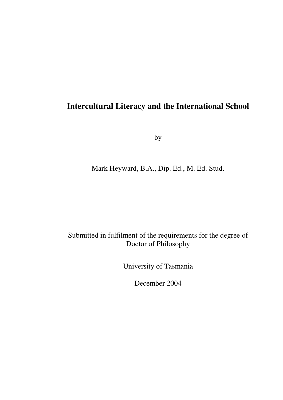# **Intercultural Literacy and the International School**

by

Mark Heyward, B.A., Dip. Ed., M. Ed. Stud.

# Submitted in fulfilment of the requirements for the degree of Doctor of Philosophy

University of Tasmania

December 2004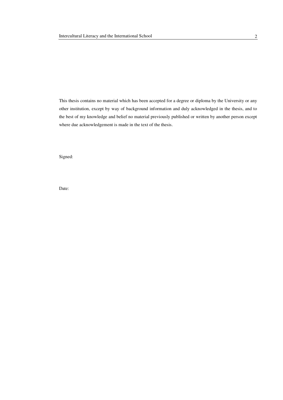This thesis contains no material which has been accepted for a degree or diploma by the University or any other institution, except by way of background information and duly acknowledged in the thesis, and to the best of my knowledge and belief no material previously published or written by another person except where due acknowledgement is made in the text of the thesis.

Signed:

Date: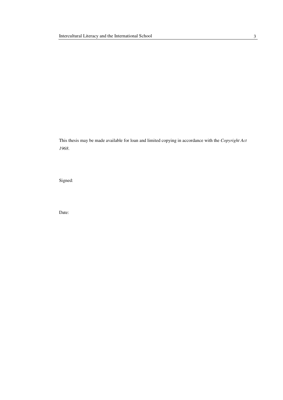This thesis may be made available for loan and limited copying in accordance with the *Copyright Act 1968*.

Signed:

Date: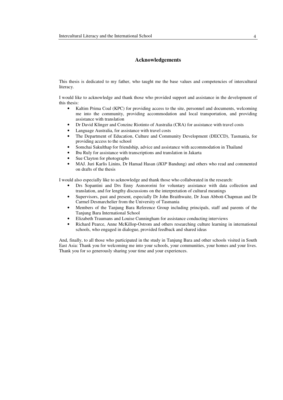### **Acknowledgements**

This thesis is dedicated to my father, who taught me the base values and competencies of intercultural literacy.

I would like to acknowledge and thank those who provided support and assistance in the development of this thesis:

- Kaltim Prima Coal (KPC) for providing access to the site, personnel and documents, welcoming me into the community, providing accommodation and local transportation, and providing assistance with translation
- Dr David Klinger and Conzinc Riotinto of Australia (CRA) for assistance with travel costs
- Language Australia, for assistance with travel costs
- The Department of Education, Culture and Community Development (DECCD), Tasmania, for providing access to the school
- Somchai Sakulthap for friendship, advice and assistance with accommodation in Thailand
- Ibu Ruly for assistance with transcriptions and translation in Jakarta
- Sue Clayton for photographs
- MAJ. Juri Karlis Linins, Dr Hamad Hasan (*IKIP* Bandung) and others who read and commented on drafts of the thesis

I would also especially like to acknowledge and thank those who collaborated in the research:

- Drs Sopantini and Drs Enny Asmororini for voluntary assistance with data collection and translation, and for lengthy discussions on the interpretation of cultural meanings
- Supervisors, past and present, especially Dr John Braithwaite, Dr Joan Abbott-Chapman and Dr Carmel Desmarchelier from the University of Tasmania
- Members of the Tanjung Bara Reference Group including principals, staff and parents of the Tanjung Bara International School
- Elizabeth Traumans and Louise Cunningham for assistance conducting interviews
- Richard Pearce, Anne McKillop-Ostrom and others researching culture learning in international schools, who engaged in dialogue, provided feedback and shared ideas

And, finally, to all those who participated in the study in Tanjung Bara and other schools visited in South East Asia: Thank you for welcoming me into your schools, your communities, your homes and your lives. Thank you for so generously sharing your time and your experiences.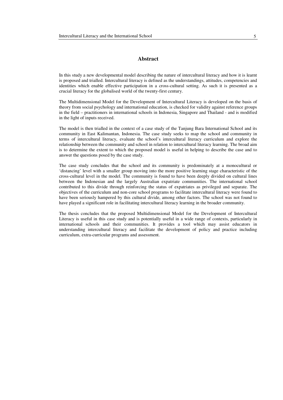#### **Abstract**

In this study a new developmental model describing the nature of intercultural literacy and how it is learnt is proposed and trialled. Intercultural literacy is defined as the understandings, attitudes, competencies and identities which enable effective participation in a cross-cultural setting. As such it is presented as a crucial literacy for the globalised world of the twenty-first century.

The Multidimensional Model for the Development of Intercultural Literacy is developed on the basis of theory from social psychology and international education, is checked for validity against reference groups in the field – practitioners in international schools in Indonesia, Singapore and Thailand - and is modified in the light of inputs received.

The model is then trialled in the context of a case study of the Tanjung Bara International School and its community in East Kalimantan, Indonesia. The case study seeks to map the school and community in terms of intercultural literacy, evaluate the school's intercultural literacy curriculum and explore the relationship between the community and school in relation to intercultural literacy learning. The broad aim is to determine the extent to which the proposed model is useful in helping to describe the case and to answer the questions posed by the case study.

The case study concludes that the school and its community is predominately at a monocultural or 'distancing' level with a smaller group moving into the more positive learning stage characteristic of the cross-cultural level in the model. The community is found to have been deeply divided on cultural lines between the Indonesian and the largely Australian expatriate communities. The international school contributed to this divide through reinforcing the status of expatriates as privileged and separate. The objectives of the curriculum and non-core school programs to facilitate intercultural literacy were found to have been seriously hampered by this cultural divide, among other factors. The school was not found to have played a significant role in facilitating intercultural literacy learning in the broader community.

The thesis concludes that the proposed Multidimensional Model for the Development of Intercultural Literacy is useful in this case study and is potentially useful in a wide range of contexts, particularly in international schools and their communities. It provides a tool which may assist educators in understanding intercultural literacy and facilitate the development of policy and practice including curriculum, extra-curricular programs and assessment.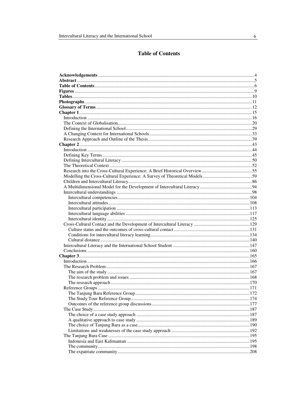# **Table of Contents**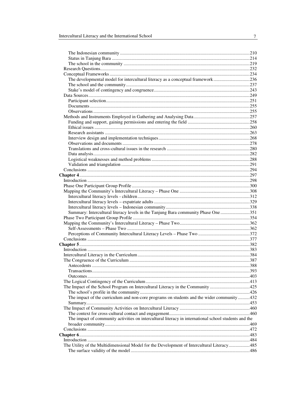| The developmental model for intercultural literacy as a conceptual framework236                       |  |
|-------------------------------------------------------------------------------------------------------|--|
|                                                                                                       |  |
|                                                                                                       |  |
|                                                                                                       |  |
|                                                                                                       |  |
|                                                                                                       |  |
|                                                                                                       |  |
|                                                                                                       |  |
|                                                                                                       |  |
|                                                                                                       |  |
|                                                                                                       |  |
|                                                                                                       |  |
|                                                                                                       |  |
|                                                                                                       |  |
|                                                                                                       |  |
|                                                                                                       |  |
|                                                                                                       |  |
|                                                                                                       |  |
|                                                                                                       |  |
|                                                                                                       |  |
|                                                                                                       |  |
|                                                                                                       |  |
|                                                                                                       |  |
|                                                                                                       |  |
|                                                                                                       |  |
| Summary: Intercultural literacy levels in the Tanjung Bara community Phase One 351                    |  |
|                                                                                                       |  |
|                                                                                                       |  |
|                                                                                                       |  |
|                                                                                                       |  |
|                                                                                                       |  |
|                                                                                                       |  |
|                                                                                                       |  |
|                                                                                                       |  |
|                                                                                                       |  |
|                                                                                                       |  |
|                                                                                                       |  |
|                                                                                                       |  |
|                                                                                                       |  |
| The Impact of the School Program on Intercultural Literacy in the Community 425                       |  |
|                                                                                                       |  |
| The impact of the curriculum and non-core programs on students and the wider community 432            |  |
|                                                                                                       |  |
|                                                                                                       |  |
|                                                                                                       |  |
| The impact of community activities on intercultural literacy in international school students and the |  |
|                                                                                                       |  |
|                                                                                                       |  |
|                                                                                                       |  |
|                                                                                                       |  |
| The Utility of the Multidimensional Model for the Development of Intercultural Literacy485            |  |
|                                                                                                       |  |

 $\frac{1}{2}$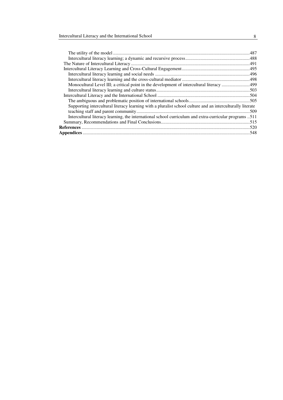| Monocultural Level III; a critical point in the development of intercultural literacy 499                  |  |
|------------------------------------------------------------------------------------------------------------|--|
|                                                                                                            |  |
|                                                                                                            |  |
|                                                                                                            |  |
| Supporting intercultural literacy learning with a pluralist school culture and an interculturally literate |  |
|                                                                                                            |  |
| Intercultural literacy learning, the international school curriculum and extra-curricular programs 511     |  |
|                                                                                                            |  |
|                                                                                                            |  |
|                                                                                                            |  |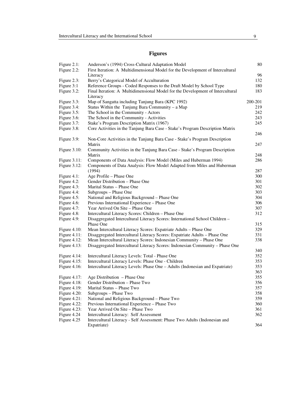## **Figures**

| Figure 2.1:<br>Figure 2.2: | Anderson's (1994) Cross-Cultural Adaptation Model<br>First Iteration: A Multidimensional Model for the Development of Intercultural | 80        |
|----------------------------|-------------------------------------------------------------------------------------------------------------------------------------|-----------|
|                            | Literacy                                                                                                                            |           |
| Figure 2.3:                | Berry's Categorical Model of Acculturation                                                                                          | 96<br>132 |
| Figure 3:1                 | Reference Groups - Coded Responses to the Draft Model by School Type                                                                | 180       |
| Figure 3.2:                | Final Iteration: A Multidimensional Model for the Development of Intercultural                                                      | 183       |
|                            | Literacy                                                                                                                            |           |
| Figure 3.3:                | Map of Sangatta including Tanjung Bara (KPC 1992)                                                                                   | 200-201   |
| Figure 3.4:                | Status Within the Tanjung Bara Community - a Map                                                                                    | 219       |
| Figure 3.5:                | The School in the Community - Actors                                                                                                | 242       |
| Figure 3.6:                | The School in the Community - Activities                                                                                            | 243       |
| Figure 3.7:                | Stake's Program Description Matrix (1967)                                                                                           | 245       |
| Figure 3.8:                | Core Activities in the Tanjung Bara Case - Stake's Program Description Matrix                                                       |           |
|                            |                                                                                                                                     | 246       |
| Figure 3.9:                | Non-Core Activities in the Tanjung Bara Case - Stake's Program Description                                                          |           |
|                            | Matrix                                                                                                                              | 247       |
| Figure $3.10$ :            | Community Activities in the Tanjung Bara Case - Stake's Program Description                                                         |           |
|                            | Matrix                                                                                                                              | 248       |
| Figure $3.11$ :            | Components of Data Analysis: Flow Model (Miles and Huberman 1994)                                                                   | 286       |
| Figure 3.12:               | Components of Data Analysis: Flow Model Adapted from Miles and Huberman                                                             |           |
|                            | (1994)                                                                                                                              | 287       |
| Figure 4.1:                | Age Profile - Phase One                                                                                                             | 300       |
| Figure 4.2:                | Gender Distribution - Phase One                                                                                                     | 301       |
| Figure 4.3:                | Marital Status - Phase One                                                                                                          | 302       |
| Figure 4.4:                | Subgroups - Phase One                                                                                                               | 303       |
| Figure 4.5:                | National and Religious Background - Phase One                                                                                       | 304       |
| Figure 4.6:                | Previous International Experience - Phase One                                                                                       | 306       |
| Figure 4.7:                | Year Arrived On Site - Phase One                                                                                                    | 307       |
| Figure 4.8:                | Intercultural Literacy Scores: Children - Phase One                                                                                 | 312       |
| Figure 4.9:                | Disaggregated Intercultural Literacy Scores: International School Children -                                                        |           |
|                            | Phase One                                                                                                                           | 315       |
| Figure $4.10$ :            | Mean Intercultural Literacy Scores: Expatriate Adults - Phase One                                                                   | 329       |
| Figure $4.11$ :            | Disaggregated Intercultural Literacy Scores: Expatriate Adults - Phase One                                                          | 331       |
| Figure $4.12$ :            | Mean Intercultural Literacy Scores: Indonesian Community - Phase One                                                                | 338       |
| Figure $4.13$ :            | Disaggregated Intercultural Literacy Scores: Indonesian Community - Phase One                                                       | 340       |
| Figure 4.14:               | Intercultural Literacy Levels: Total - Phase One                                                                                    | 352       |
| Figure $4.15$ :            | Intercultural Literacy Levels: Phase One - Children                                                                                 | 353       |
| Figure 4.16:               | Intercultural Literacy Levels: Phase One - Adults (Indonesian and Expatriate)                                                       | 353       |
|                            |                                                                                                                                     | 363       |
| Figure 4.17:               | Age Distribution – Phase One                                                                                                        | 355       |
| Figure 4.18:               | Gender Distribution - Phase Two                                                                                                     | 356       |
| Figure $4.19$ :            | Marital Status - Phase Two                                                                                                          | 357       |
| Figure 4.20:               | Subgroups - Phase Two                                                                                                               | 358       |
| Figure 4.21:               | National and Religious Background - Phase Two                                                                                       | 359       |
| Figure 4.22:               | Previous International Experience - Phase Two                                                                                       | 360       |
| Figure $4.23$ :            | Year Arrived On Site - Phase Two                                                                                                    | 361       |
| Figure 4.24                | Intercultural Literacy: Self Assessment                                                                                             | 362       |
| Figure 4.25                | Intercultural Literacy - Self Assessment: Phase Two Adults (Indonesian and                                                          |           |
|                            | Expatriate)                                                                                                                         | 364       |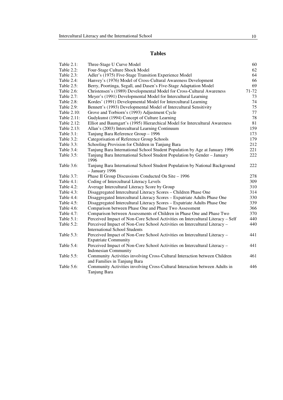## **Tables**

| Table $2.1$ : | Three-Stage U Curve Model                                                                                          | 60    |
|---------------|--------------------------------------------------------------------------------------------------------------------|-------|
| Table 2.2:    | Four-Stage Culture Shock Model                                                                                     | 62    |
| Table 2.3:    | Adler's (1975) Five-Stage Transition Experience Model                                                              | 64    |
| Table 2.4:    | Hanvey's (1976) Model of Cross-Cultural Awareness Development                                                      | 66    |
| Table 2.5:    | Berry, Poortinga, Segall, and Dasen's Five-Stage Adaptation Model                                                  | 69    |
| Table 2.6:    | Christensen's (1989) Developmental Model for Cross-Cultural Awareness                                              | 71-72 |
| Table 2.7:    | Meyer's (1991) Developmental Model for Intercultural Learning                                                      | 73    |
| Table 2.8:    | Kordes' (1991) Developmental Model for Intercultural Learning                                                      | 74    |
| Table 2.9:    | Bennett's (1993) Developmental Model of Intercultural Sensitivity                                                  | 75    |
| Table 2.10:   | Grove and Torbiorn's (1993) Adjustment Cycle                                                                       | 77    |
| Table 2.11:   | Gudykunst (1994) Concept of Culture Learning                                                                       | 78    |
| Table 2.12:   | Elliot and Baumgart's (1995) Hierarchical Model for Intercultural Awareness                                        | 81    |
| Table 2.13:   | Allan's (2003) Intercultural Learning Continuum                                                                    | 159   |
| Table 3.1:    | Tanjung Bara Reference Group - 1996                                                                                | 173   |
| Table 3.2:    | Categorisation of Reference Group Schools                                                                          | 179   |
| Table 3.3:    | Schooling Provision for Children in Tanjung Bara                                                                   | 212   |
| Table 3.4:    | Tanjung Bara International School Student Population by Age at January 1996                                        | 221   |
| Table 3.5:    | Tanjung Bara International School Student Population by Gender - January<br>1996                                   | 222   |
| Table 3.6:    | Tanjung Bara International School Student Population by National Background<br>- January 1996                      | 222   |
| Table 3.7:    | Phase II Group Discussions Conducted On Site - 1996                                                                | 278   |
| Table 4.1:    | Coding of Intercultural Literacy Levels                                                                            | 309   |
| Table 4.2:    | Average Intercultural Literacy Score by Group                                                                      | 310   |
| Table 4.3:    | Disaggregated Intercultural Literacy Scores - Children Phase One                                                   | 314   |
| Table 4.4:    | Disaggregated Intercultural Literacy Scores - Expatriate Adults Phase One                                          | 330   |
| Table 4.5:    | Disaggregated Intercultural Literacy Scores - Expatriate Adults Phase One                                          | 339   |
| Table 4.6:    | Comparison between Phase One and Phase Two Assessment                                                              | 366   |
| Table 4.7:    | Comparison between Assessments of Children in Phase One and Phase Two                                              | 370   |
| Table 5.1:    | Perceived Impact of Non-Core School Activities on Intercultural Literacy - Self                                    | 440   |
| Table 5.2:    | Perceived Impact of Non-Core School Activities on Intercultural Literacy -<br><b>International School Students</b> | 440   |
| Table 5.3:    | Perceived Impact of Non-Core School Activities on Intercultural Literacy -<br><b>Expatriate Community</b>          | 441   |
| Table 5.4:    | Perceived Impact of Non-Core School Activities on Intercultural Literacy -<br><b>Indonesian Community</b>          | 441   |
| Table 5.5:    | Community Activities involving Cross-Cultural Interaction between Children<br>and Families in Tanjung Bara         | 461   |
| Table 5.6:    | Community Activities involving Cross-Cultural Interaction between Adults in<br>Tanjung Bara                        | 446   |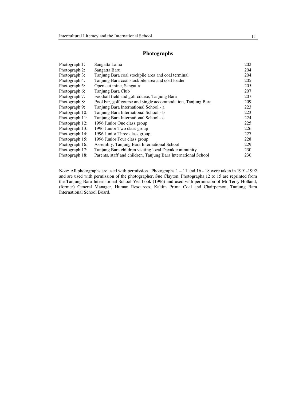### **Photographs**

| Photograph 1:  | Sangatta Lama                                                  | 202 |
|----------------|----------------------------------------------------------------|-----|
| Photograph 2:  | Sangatta Baru                                                  | 204 |
| Photograph 3:  | Tanjung Bara coal stockpile area and coal terminal             | 204 |
| Photograph 4:  | Tanjung Bara coal stockpile area and coal loader               | 205 |
| Photograph 5:  | Open cut mine, Sangatta                                        | 205 |
| Photograph 6:  | Tanjung Bara Club                                              | 207 |
| Photograph 7:  | Football field and golf course, Tanjung Bara                   | 207 |
| Photograph 8:  | Pool bar, golf course and single accommodation, Tanjung Bara   | 209 |
| Photograph 9:  | Tanjung Bara International School - a                          | 223 |
| Photograph 10: | Tanjung Bara International School - b                          | 223 |
| Photograph 11: | Tanjung Bara International School - c                          | 224 |
| Photograph 12: | 1996 Junior One class group                                    | 225 |
| Photograph 13: | 1996 Junior Two class group                                    | 226 |
| Photograph 14: | 1996 Junior Three class group                                  | 227 |
| Photograph 15: | 1996 Junior Four class group                                   | 228 |
| Photograph 16: | Assembly, Tanjung Bara International School                    | 229 |
| Photograph 17: | Tanjung Bara children visiting local Dayak community           | 230 |
| Photograph 18: | Parents, staff and children, Tanjung Bara International School | 230 |

Note: All photographs are used with permission. Photographs 1 – 11 and 16 - 18 were taken in 1991-1992 and are used with permission of the photographer, Sue Clayton. Photographs 12 to 15 are reprinted from the Tanjung Bara International School Yearbook (1996) and used with permission of Mr Terry Holland, (former) General Manager, Human Resources, Kaltim Prima Coal and Chairperson, Tanjung Bara International School Board.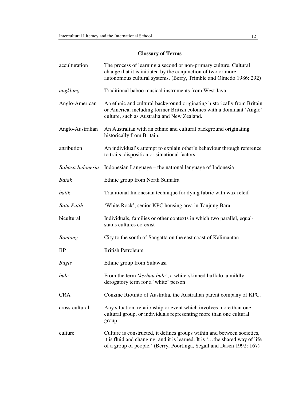## **Glossary of Terms**

| acculturation     | The process of learning a second or non-primary culture. Cultural<br>change that it is initiated by the conjunction of two or more<br>autonomous cultural systems. (Berry, Trimble and Olmedo 1986: 292)                       |
|-------------------|--------------------------------------------------------------------------------------------------------------------------------------------------------------------------------------------------------------------------------|
| angklung          | Traditional baboo musical instruments from West Java                                                                                                                                                                           |
| Anglo-American    | An ethnic and cultural background originating historically from Britain<br>or America, including former British colonies with a dominant 'Anglo'<br>culture, such as Australia and New Zealand.                                |
| Anglo-Australian  | An Australian with an ethnic and cultural background originating<br>historically from Britain.                                                                                                                                 |
| attribution       | An individual's attempt to explain other's behaviour through reference<br>to traits, disposition or situational factors                                                                                                        |
| Bahasa Indonesia  | Indonesian Language – the national language of Indonesia                                                                                                                                                                       |
| <b>Batak</b>      | Ethnic group from North Sumatra                                                                                                                                                                                                |
| batik             | Traditional Indonesian technique for dying fabric with wax releif                                                                                                                                                              |
| <b>Batu Putih</b> | 'White Rock', senior KPC housing area in Tanjung Bara                                                                                                                                                                          |
| bicultural        | Individuals, families or other contexts in which two parallel, equal-<br>status cultures co-exist                                                                                                                              |
| <b>Bontang</b>    | City to the south of Sangatta on the east coast of Kalimantan                                                                                                                                                                  |
| <b>BP</b>         | <b>British Petroleum</b>                                                                                                                                                                                                       |
| <b>Bugis</b>      | Ethnic group from Sulawasi                                                                                                                                                                                                     |
| bule              | From the term 'kerbau bule', a white-skinned buffalo, a mildly<br>derogatory term for a 'white' person                                                                                                                         |
| <b>CRA</b>        | Conzinc Riotinto of Australia, the Australian parent company of KPC.                                                                                                                                                           |
| cross-cultural    | Any situation, relationship or event which involves more than one<br>cultural group, or individuals representing more than one cultural<br>group                                                                               |
| culture           | Culture is constructed, it defines groups within and between societies,<br>it is fluid and changing, and it is learned. It is 'the shared way of life<br>of a group of people.' (Berry, Poortinga, Segall and Dasen 1992: 167) |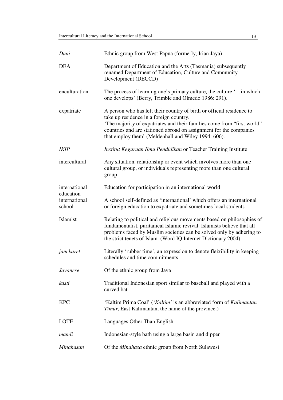| Dani                                 | Ethnic group from West Papua (formerly, Irian Jaya)                                                                                                                                                                                                                                                                      |
|--------------------------------------|--------------------------------------------------------------------------------------------------------------------------------------------------------------------------------------------------------------------------------------------------------------------------------------------------------------------------|
| <b>DEA</b>                           | Department of Education and the Arts (Tasmania) subsequently<br>renamed Department of Education, Culture and Community<br>Development (DECCD)                                                                                                                                                                            |
| enculturation                        | The process of learning one's primary culture, the culture ' in which<br>one develops' (Berry, Trimble and Olmedo 1986: 291).                                                                                                                                                                                            |
| expatriate                           | A person who has left their country of birth or official residence to<br>take up residence in a foreign country.<br>'The majority of expatriates and their families come from "first world"<br>countries and are stationed abroad on assignment for the companies<br>that employ them' (Meldenhall and Wiley 1994: 606). |
| <i>IKIP</i>                          | Institut Keguruan Ilmu Pendidikan or Teacher Training Institute                                                                                                                                                                                                                                                          |
| intercultural                        | Any situation, relationship or event which involves more than one<br>cultural group, or individuals representing more than one cultural<br>group                                                                                                                                                                         |
| international                        | Education for participation in an international world                                                                                                                                                                                                                                                                    |
| education<br>international<br>school | A school self-defined as 'international' which offers an international<br>or foreign education to expatriate and sometimes local students                                                                                                                                                                                |
| Islamist                             | Relating to political and religious movements based on philosophies of<br>fundamentalist, puritanical Islamic revival. Islamists believe that all<br>problems faced by Muslim societies can be solved only by adhering to<br>the strict tenets of Islam. (Word IQ Internet Dictionary 2004)                              |
| jam karet                            | Literally 'rubber time', an expression to denote fleixibility in keeping<br>schedules and time commitments                                                                                                                                                                                                               |
| Javanese                             | Of the ethnic group from Java                                                                                                                                                                                                                                                                                            |
| kasti                                | Traditional Indonesian sport similar to baseball and played with a<br>curved bat                                                                                                                                                                                                                                         |
| <b>KPC</b>                           | 'Kaltim Prima Coal' ('Kaltim' is an abbreviated form of Kalimantan<br><i>Timur</i> , East Kalimantan, the name of the province.)                                                                                                                                                                                         |
| LOTE                                 | Languages Other Than English                                                                                                                                                                                                                                                                                             |
| mandi                                | Indonesian-style bath using a large basin and dipper                                                                                                                                                                                                                                                                     |
| Minahasan                            | Of the Minahasa ethnic group from North Sulawesi                                                                                                                                                                                                                                                                         |